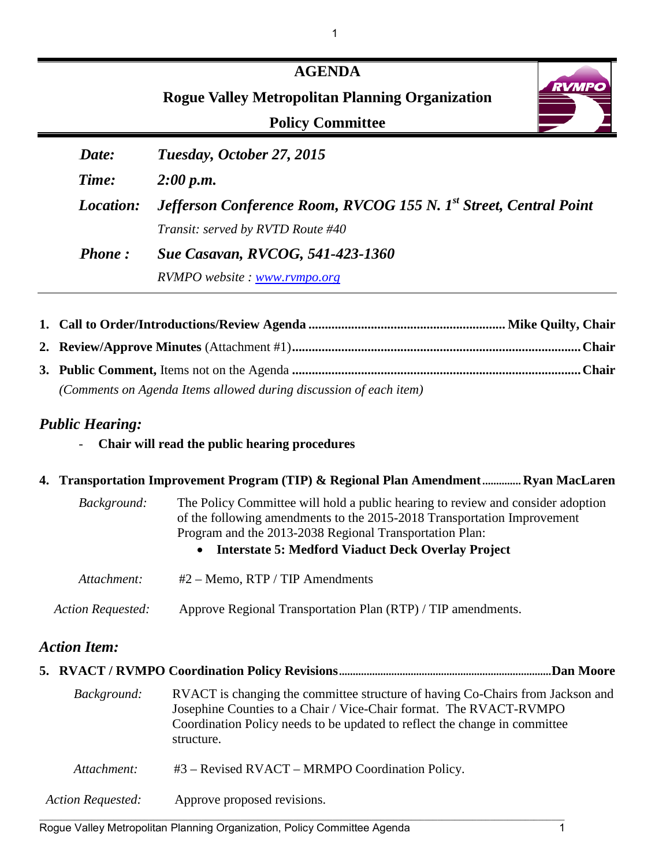|               | <b>AGENDA</b><br><b>RVMPC</b><br><b>Rogue Valley Metropolitan Planning Organization</b><br><b>Policy Committee</b> |
|---------------|--------------------------------------------------------------------------------------------------------------------|
| Date:         | Tuesday, October 27, 2015                                                                                          |
| Time:         | 2:00 p.m.                                                                                                          |
| Location:     | <b>Jefferson Conference Room, RVCOG 155 N. 1st Street, Central Point</b>                                           |
|               | Transit: served by RVTD Route #40                                                                                  |
| <b>Phone:</b> | <b>Sue Casavan, RVCOG, 541-423-1360</b>                                                                            |
|               | RVMPO website: www.rvmpo.org                                                                                       |

1

| (Comments on Agenda Items allowed during discussion of each item) |  |
|-------------------------------------------------------------------|--|

## *Public Hearing:*

- **Chair will read the public hearing procedures**

## **4. Transportation Improvement Program (TIP) & Regional Plan Amendment.............. Ryan MacLaren**

| Background:       | The Policy Committee will hold a public hearing to review and consider adoption<br>of the following amendments to the 2015-2018 Transportation Improvement<br>Program and the 2013-2038 Regional Transportation Plan:<br>Interstate 5: Medford Viaduct Deck Overlay Project<br>$\bullet$ |
|-------------------|------------------------------------------------------------------------------------------------------------------------------------------------------------------------------------------------------------------------------------------------------------------------------------------|
| Attachment:       | $#2 -$ Memo, RTP / TIP Amendments                                                                                                                                                                                                                                                        |
| Action Requested: | Approve Regional Transportation Plan (RTP) / TIP amendments.                                                                                                                                                                                                                             |

# *Action Item:*

| Background:              | RVACT is changing the committee structure of having Co-Chairs from Jackson and<br>Josephine Counties to a Chair / Vice-Chair format. The RVACT-RVMPO<br>Coordination Policy needs to be updated to reflect the change in committee<br>structure. |
|--------------------------|--------------------------------------------------------------------------------------------------------------------------------------------------------------------------------------------------------------------------------------------------|
| Attachment:              | $#3$ – Revised RVACT – MRMPO Coordination Policy.                                                                                                                                                                                                |
| <b>Action Requested:</b> | Approve proposed revisions.                                                                                                                                                                                                                      |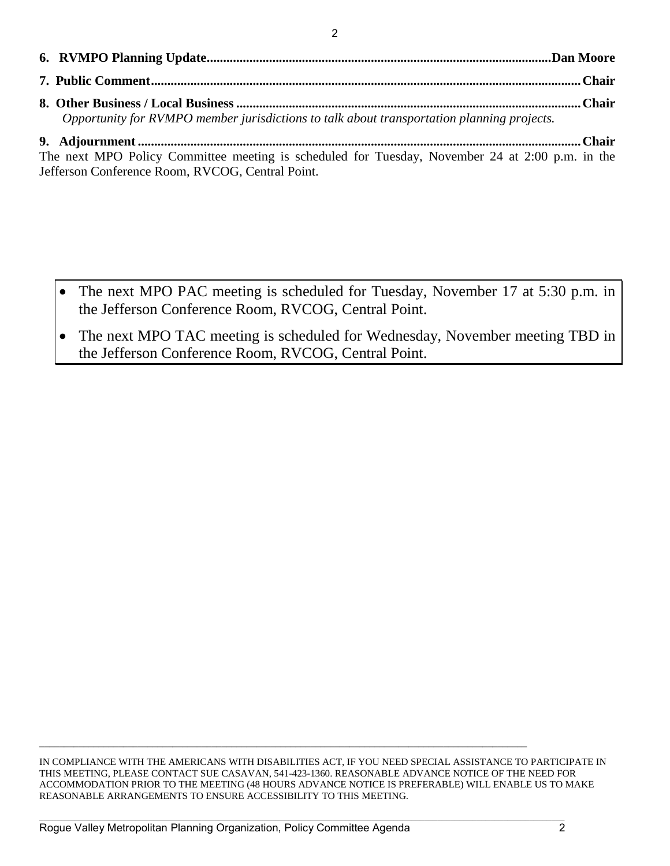2

| Opportunity for RVMPO member jurisdictions to talk about transportation planning projects. |  |
|--------------------------------------------------------------------------------------------|--|

**9. Adjournment ....................................................................................................................................... Chair** The next MPO Policy Committee meeting is scheduled for Tuesday, November 24 at 2:00 p.m. in the Jefferson Conference Room, RVCOG, Central Point.

- The next MPO PAC meeting is scheduled for Tuesday, November 17 at 5:30 p.m. in the Jefferson Conference Room, RVCOG, Central Point.
- The next MPO TAC meeting is scheduled for Wednesday, November meeting TBD in the Jefferson Conference Room, RVCOG, Central Point.

IN COMPLIANCE WITH THE AMERICANS WITH DISABILITIES ACT, IF YOU NEED SPECIAL ASSISTANCE TO PARTICIPATE IN THIS MEETING, PLEASE CONTACT SUE CASAVAN, 541-423-1360. REASONABLE ADVANCE NOTICE OF THE NEED FOR ACCOMMODATION PRIOR TO THE MEETING (48 HOURS ADVANCE NOTICE IS PREFERABLE) WILL ENABLE US TO MAKE REASONABLE ARRANGEMENTS TO ENSURE ACCESSIBILITY TO THIS MEETING.

\_\_\_\_\_\_\_\_\_\_\_\_\_\_\_\_\_\_\_\_\_\_\_\_\_\_\_\_\_\_\_\_\_\_\_\_\_\_\_\_\_\_\_\_\_\_\_\_\_\_\_\_\_\_\_\_\_\_\_\_\_\_\_\_\_\_\_\_\_\_\_\_\_\_\_\_\_\_\_\_\_\_\_\_\_\_\_\_\_\_\_\_\_\_\_\_\_\_\_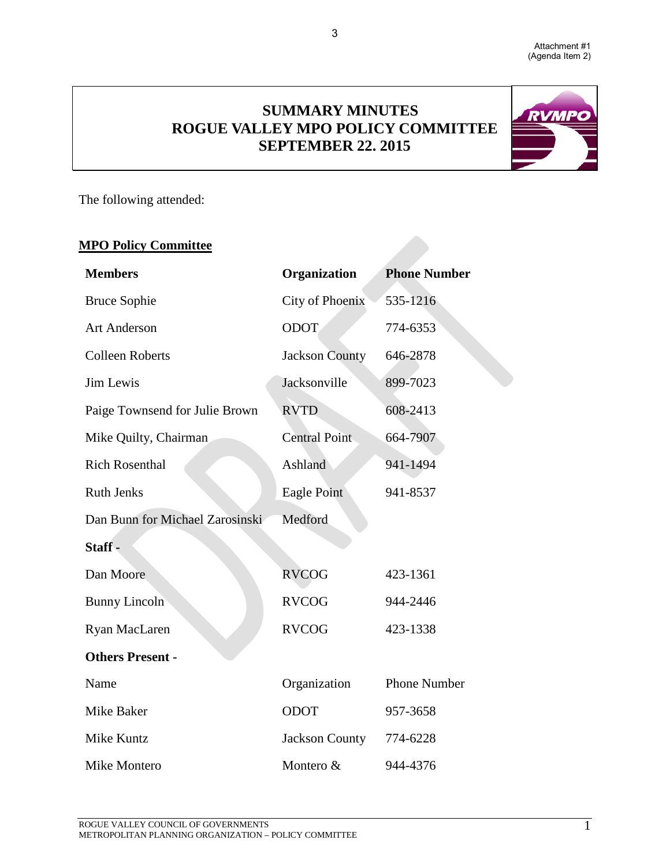

# **SUMMARY MINUTES ROGUE VALLEY MPO POLICY COMMITTEE SEPTEMBER 22. 2015**

3



The following attended:

# **MPO Policy Committee**

| <b>Members</b>                  | Organization           | <b>Phone Number</b> |  |  |  |  |
|---------------------------------|------------------------|---------------------|--|--|--|--|
| <b>Bruce Sophie</b>             | <b>City of Phoenix</b> | 535-1216            |  |  |  |  |
| <b>Art Anderson</b>             | <b>ODOT</b>            | 774-6353            |  |  |  |  |
| <b>Colleen Roberts</b>          | <b>Jackson County</b>  | 646-2878            |  |  |  |  |
| Jim Lewis                       | Jacksonville           | 899-7023            |  |  |  |  |
| Paige Townsend for Julie Brown  | <b>RVTD</b>            | 608-2413            |  |  |  |  |
| Mike Quilty, Chairman           | <b>Central Point</b>   | 664-7907            |  |  |  |  |
| <b>Rich Rosenthal</b>           | Ashland                | 941-1494            |  |  |  |  |
| <b>Ruth Jenks</b>               | Eagle Point            | 941-8537            |  |  |  |  |
| Dan Bunn for Michael Zarosinski | Medford                |                     |  |  |  |  |
| Staff-                          |                        |                     |  |  |  |  |
| Dan Moore                       | <b>RVCOG</b>           | 423-1361            |  |  |  |  |
| <b>Bunny Lincoln</b>            | <b>RVCOG</b>           | 944-2446            |  |  |  |  |
| Ryan MacLaren                   | <b>RVCOG</b>           | 423-1338            |  |  |  |  |
| <b>Others Present -</b>         |                        |                     |  |  |  |  |
| Name                            | Organization           | <b>Phone Number</b> |  |  |  |  |
| Mike Baker                      | ODOT                   | 957-3658            |  |  |  |  |
| Mike Kuntz                      | Jackson County         | 774-6228            |  |  |  |  |
| Mike Montero                    | Montero &              | 944-4376            |  |  |  |  |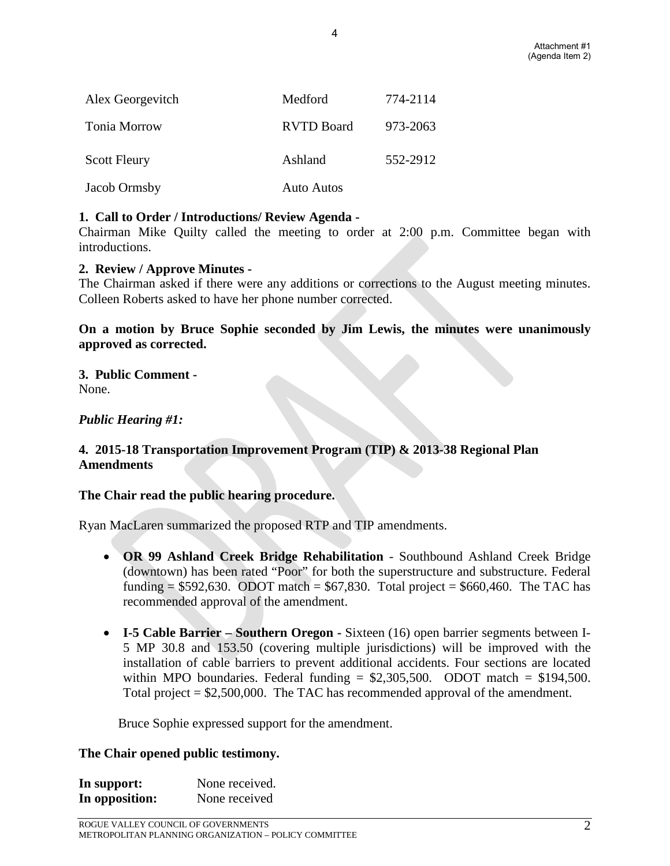| Alex Georgevitch    | Medford           | 774-2114 |  |  |
|---------------------|-------------------|----------|--|--|
| Tonia Morrow        | <b>RVTD Board</b> | 973-2063 |  |  |
| <b>Scott Fleury</b> | Ashland           | 552-2912 |  |  |
| Jacob Ormsby        | <b>Auto Autos</b> |          |  |  |

#### **1. Call to Order / Introductions/ Review Agenda -**

Chairman Mike Quilty called the meeting to order at 2:00 p.m. Committee began with introductions.

4

#### **2. Review / Approve Minutes -**

The Chairman asked if there were any additions or corrections to the August meeting minutes. Colleen Roberts asked to have her phone number corrected.

#### **On a motion by Bruce Sophie seconded by Jim Lewis, the minutes were unanimously approved as corrected.**

# **3. Public Comment -**

None.

#### *Public Hearing #1:*

#### **4. 2015-18 Transportation Improvement Program (TIP) & 2013-38 Regional Plan Amendments**

#### **The Chair read the public hearing procedure.**

Ryan MacLaren summarized the proposed RTP and TIP amendments.

- **OR 99 Ashland Creek Bridge Rehabilitation** Southbound Ashland Creek Bridge (downtown) has been rated "Poor" for both the superstructure and substructure. Federal funding =  $$592,630$ . ODOT match =  $$67,830$ . Total project =  $$660,460$ . The TAC has recommended approval of the amendment.
- **I-5 Cable Barrier Southern Oregon -** Sixteen (16) open barrier segments between I-5 MP 30.8 and 153.50 (covering multiple jurisdictions) will be improved with the installation of cable barriers to prevent additional accidents. Four sections are located within MPO boundaries. Federal funding  $= $2,305,500$ . ODOT match  $= $194,500$ . Total project = \$2,500,000. The TAC has recommended approval of the amendment.

Bruce Sophie expressed support for the amendment.

#### **The Chair opened public testimony.**

| In support:    | None received. |
|----------------|----------------|
| In opposition: | None received  |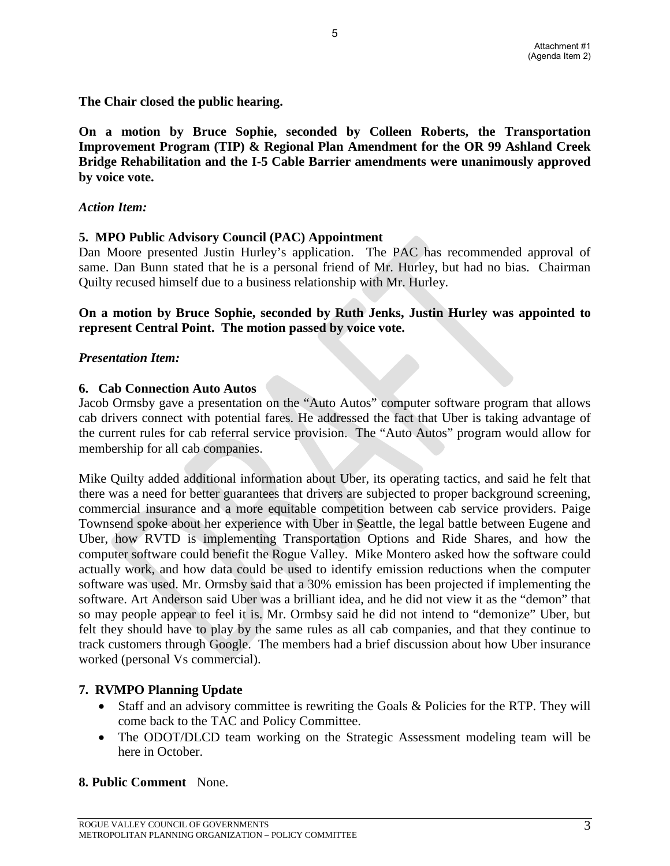**The Chair closed the public hearing.**

**On a motion by Bruce Sophie, seconded by Colleen Roberts, the Transportation Improvement Program (TIP) & Regional Plan Amendment for the OR 99 Ashland Creek Bridge Rehabilitation and the I-5 Cable Barrier amendments were unanimously approved by voice vote.** 

5

#### *Action Item:*

#### **5. MPO Public Advisory Council (PAC) Appointment**

Dan Moore presented Justin Hurley's application. The PAC has recommended approval of same. Dan Bunn stated that he is a personal friend of Mr. Hurley, but had no bias. Chairman Quilty recused himself due to a business relationship with Mr. Hurley.

#### **On a motion by Bruce Sophie, seconded by Ruth Jenks, Justin Hurley was appointed to represent Central Point. The motion passed by voice vote.**

#### *Presentation Item:*

#### **6. Cab Connection Auto Autos**

Jacob Ormsby gave a presentation on the "Auto Autos" computer software program that allows cab drivers connect with potential fares. He addressed the fact that Uber is taking advantage of the current rules for cab referral service provision. The "Auto Autos" program would allow for membership for all cab companies.

Mike Quilty added additional information about Uber, its operating tactics, and said he felt that there was a need for better guarantees that drivers are subjected to proper background screening, commercial insurance and a more equitable competition between cab service providers. Paige Townsend spoke about her experience with Uber in Seattle, the legal battle between Eugene and Uber, how RVTD is implementing Transportation Options and Ride Shares, and how the computer software could benefit the Rogue Valley. Mike Montero asked how the software could actually work, and how data could be used to identify emission reductions when the computer software was used. Mr. Ormsby said that a 30% emission has been projected if implementing the software. Art Anderson said Uber was a brilliant idea, and he did not view it as the "demon" that so may people appear to feel it is. Mr. Ormbsy said he did not intend to "demonize" Uber, but felt they should have to play by the same rules as all cab companies, and that they continue to track customers through Google. The members had a brief discussion about how Uber insurance worked (personal Vs commercial).

#### **7. RVMPO Planning Update**

- Staff and an advisory committee is rewriting the Goals & Policies for the RTP. They will come back to the TAC and Policy Committee.
- The ODOT/DLCD team working on the Strategic Assessment modeling team will be here in October.

#### **8. Public Comment** None.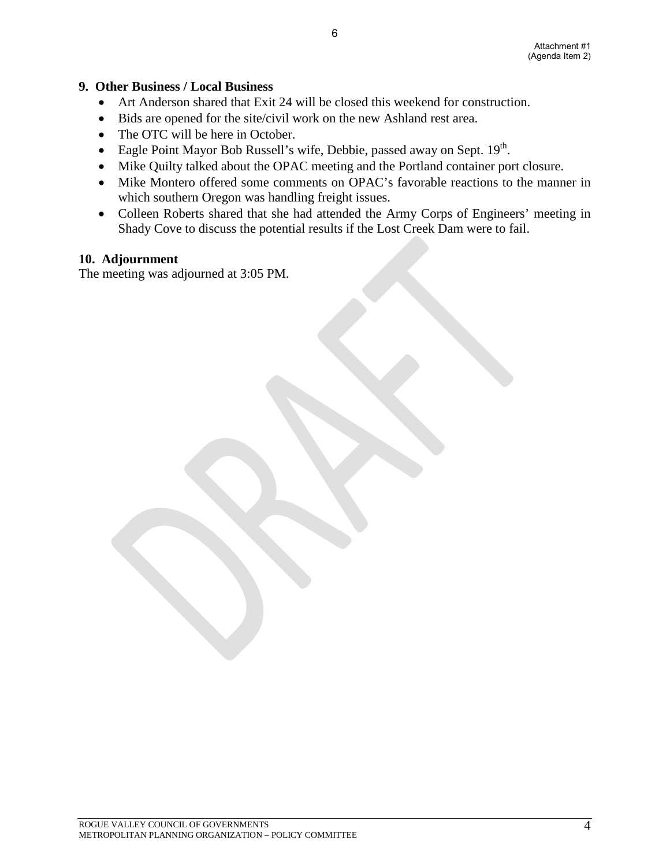#### **9. Other Business / Local Business**

- Art Anderson shared that Exit 24 will be closed this weekend for construction.
- Bids are opened for the site/civil work on the new Ashland rest area.
- The OTC will be here in October.
- Eagle Point Mayor Bob Russell's wife, Debbie, passed away on Sept. 19th.
- Mike Quilty talked about the OPAC meeting and the Portland container port closure.
- Mike Montero offered some comments on OPAC's favorable reactions to the manner in which southern Oregon was handling freight issues.
- Colleen Roberts shared that she had attended the Army Corps of Engineers' meeting in Shady Cove to discuss the potential results if the Lost Creek Dam were to fail.

#### **10. Adjournment**

The meeting was adjourned at 3:05 PM.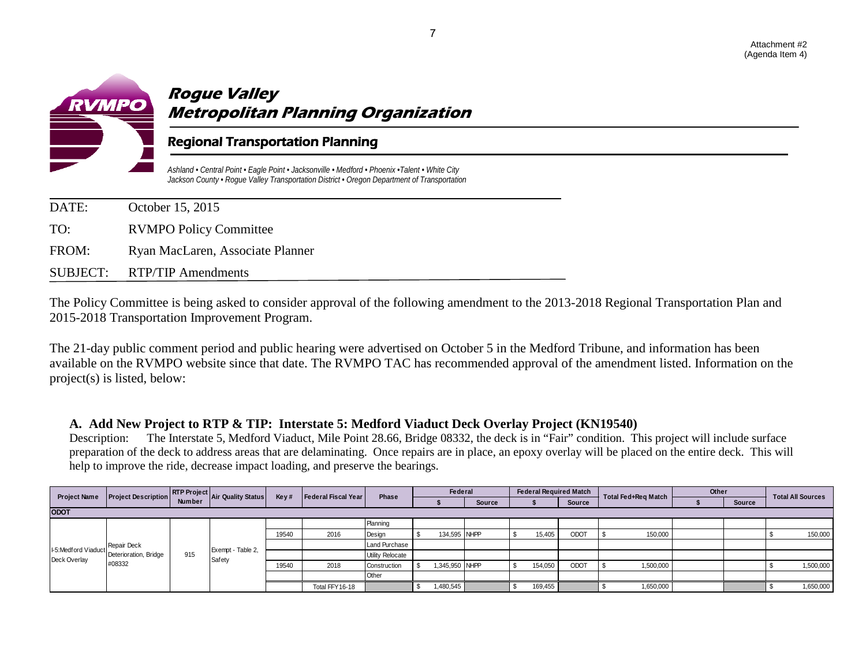

# **Rogue Valley Metropolitan Planning Organization**

## Regional Transportation Planning

*Ashland • Central Point • Eagle Point • Jacksonville • Medford • Phoenix •Talent • White City Jackson County • Rogue Valley Transportation District • Oregon Department of Transportation*

| DATE: | October 15, 2015                 |
|-------|----------------------------------|
| TO:   | <b>RVMPO Policy Committee</b>    |
| FROM: | Ryan MacLaren, Associate Planner |
|       | SUBJECT: RTP/TIP Amendments      |

The Policy Committee is being asked to consider approval of the following amendment to the 2013-2018 Regional Transportation Plan and 2015-2018 Transportation Improvement Program.

The 21-day public comment period and public hearing were advertised on October 5 in the Medford Tribune, and information has been available on the RVMPO website since that date. The RVMPO TAC has recommended approval of the amendment listed. Information on the project(s) is listed, below:

#### **A. Add New Project to RTP & TIP: Interstate 5: Medford Viaduct Deck Overlay Project (KN19540)**

Description: The Interstate 5, Medford Viaduct, Mile Point 28.66, Bridge 08332, the deck is in "Fair" condition. This project will include surface preparation of the deck to address areas that are delaminating. Once repairs are in place, an epoxy overlay will be placed on the entire deck. This will help to improve the ride, decrease impact loading, and preserve the bearings.

| <b>Project Name</b> | <b>Project Description</b>           |        |                   | RTP Project Air Quality Status V<br>Key# | Federal Fiscal Year | Phase            | Federal |           | <b>Federal Required Match</b> |  |         | Total Fed+Reg Match | Other     |  | <b>Total All Sources</b> |  |           |
|---------------------|--------------------------------------|--------|-------------------|------------------------------------------|---------------------|------------------|---------|-----------|-------------------------------|--|---------|---------------------|-----------|--|--------------------------|--|-----------|
|                     |                                      | Number |                   |                                          |                     |                  |         |           | Source                        |  |         | Source              |           |  | Source                   |  |           |
| <b>ODOT</b>         |                                      |        |                   |                                          |                     |                  |         |           |                               |  |         |                     |           |  |                          |  |           |
|                     |                                      |        |                   |                                          |                     | Planning         |         |           |                               |  |         |                     |           |  |                          |  |           |
|                     |                                      |        |                   | 19540                                    | 2016                | Design           |         |           | 134,595 NHPP                  |  | 15,405  | ODOT                | 150,000   |  |                          |  | 150,000   |
| I-5:Medford Viaduct | Repair Deck<br>Deterioration, Bridge |        | Exempt - Table 2, |                                          |                     | Land Purchase    |         |           |                               |  |         |                     |           |  |                          |  |           |
| Deck Overlay        |                                      | 915    | Safety            |                                          |                     | Utility Relocate |         |           |                               |  |         |                     |           |  |                          |  |           |
|                     | #08332                               |        |                   | 19540                                    | 2018                | Construction     |         |           | 1,345,950 NHPP                |  | 154,050 | ODOT                | 1,500,000 |  |                          |  | 1,500,000 |
|                     |                                      |        |                   |                                          |                     | Other            |         |           |                               |  |         |                     |           |  |                          |  |           |
|                     |                                      |        |                   |                                          | Total FFY16-18      |                  |         | 1,480,545 |                               |  | 169,455 |                     | 1,650,000 |  |                          |  | 1,650,000 |